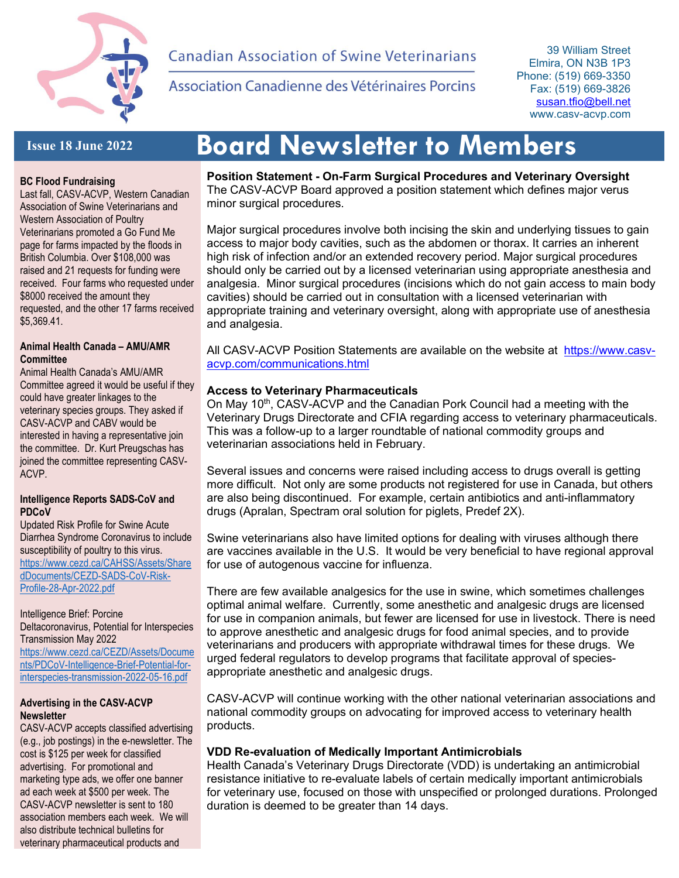

# **Canadian Association of Swine Veterinarians**

Association Canadienne des Vétérinaires Porcins

39 William Street Elmira, ON N3B 1P3 Phone: (519) 669-3350 Fax: (519) 669-3826 susan.tfio@bell.net www.casv-acvp.com

# **Issue 18 June 2022**

# **BC Flood Fundraising**

Last fall, CASV-ACVP, Western Canadian Association of Swine Veterinarians and Western Association of Poultry Veterinarians promoted a Go Fund Me page for farms impacted by the floods in British Columbia. Over \$108,000 was raised and 21 requests for funding were received. Four farms who requested under \$8000 received the amount they requested, and the other 17 farms received \$5,369.41.

### **Animal Health Canada – AMU/AMR Committee**

Animal Health Canada's AMU/AMR Committee agreed it would be useful if they could have greater linkages to the veterinary species groups. They asked if CASV-ACVP and CABV would be interested in having a representative join the committee. Dr. Kurt Preugschas has joined the committee representing CASV-ACVP.

### **Intelligence Reports SADS-CoV and PDCoV**

Updated Risk Profile for Swine Acute Diarrhea Syndrome Coronavirus to include susceptibility of poultry to this virus. https://www.cezd.ca/CAHSS/Assets/Share dDocuments/CEZD-SADS-CoV-Risk-Profile-28-Apr-2022.pdf

Intelligence Brief: Porcine Deltacoronavirus, Potential for Interspecies Transmission May 2022

https://www.cezd.ca/CEZD/Assets/Docume nts/PDCoV-Intelligence-Brief-Potential-forinterspecies-transmission-2022-05-16.pdf

### **Advertising in the CASV-ACVP Newsletter**

CASV-ACVP accepts classified advertising (e.g., job postings) in the e-newsletter. The cost is \$125 per week for classified advertising. For promotional and marketing type ads, we offer one banner ad each week at \$500 per week. The CASV-ACVP newsletter is sent to 180 association members each week. We will also distribute technical bulletins for veterinary pharmaceutical products and

# **Board Newsletter to Members**

**Position Statement - On-Farm Surgical Procedures and Veterinary Oversight** The CASV-ACVP Board approved a position statement which defines major verus minor surgical procedures.

Major surgical procedures involve both incising the skin and underlying tissues to gain access to major body cavities, such as the abdomen or thorax. It carries an inherent high risk of infection and/or an extended recovery period. Major surgical procedures should only be carried out by a licensed veterinarian using appropriate anesthesia and analgesia. Minor surgical procedures (incisions which do not gain access to main body cavities) should be carried out in consultation with a licensed veterinarian with appropriate training and veterinary oversight, along with appropriate use of anesthesia and analgesia.

All CASV-ACVP Position Statements are available on the website at https://www.casvacvp.com/communications.html

## **Access to Veterinary Pharmaceuticals**

On May 10<sup>th</sup>, CASV-ACVP and the Canadian Pork Council had a meeting with the Veterinary Drugs Directorate and CFIA regarding access to veterinary pharmaceuticals. This was a follow-up to a larger roundtable of national commodity groups and veterinarian associations held in February.

Several issues and concerns were raised including access to drugs overall is getting more difficult. Not only are some products not registered for use in Canada, but others are also being discontinued. For example, certain antibiotics and anti-inflammatory drugs (Apralan, Spectram oral solution for piglets, Predef 2X).

Swine veterinarians also have limited options for dealing with viruses although there are vaccines available in the U.S. It would be very beneficial to have regional approval for use of autogenous vaccine for influenza.

There are few available analgesics for the use in swine, which sometimes challenges optimal animal welfare. Currently, some anesthetic and analgesic drugs are licensed for use in companion animals, but fewer are licensed for use in livestock. There is need to approve anesthetic and analgesic drugs for food animal species, and to provide veterinarians and producers with appropriate withdrawal times for these drugs. We urged federal regulators to develop programs that facilitate approval of speciesappropriate anesthetic and analgesic drugs.

CASV-ACVP will continue working with the other national veterinarian associations and national commodity groups on advocating for improved access to veterinary health products.

# **VDD Re-evaluation of Medically Important Antimicrobials**

Health Canada's Veterinary Drugs Directorate (VDD) is undertaking an antimicrobial resistance initiative to re-evaluate labels of certain medically important antimicrobials for veterinary use, focused on those with unspecified or prolonged durations. Prolonged duration is deemed to be greater than 14 days.